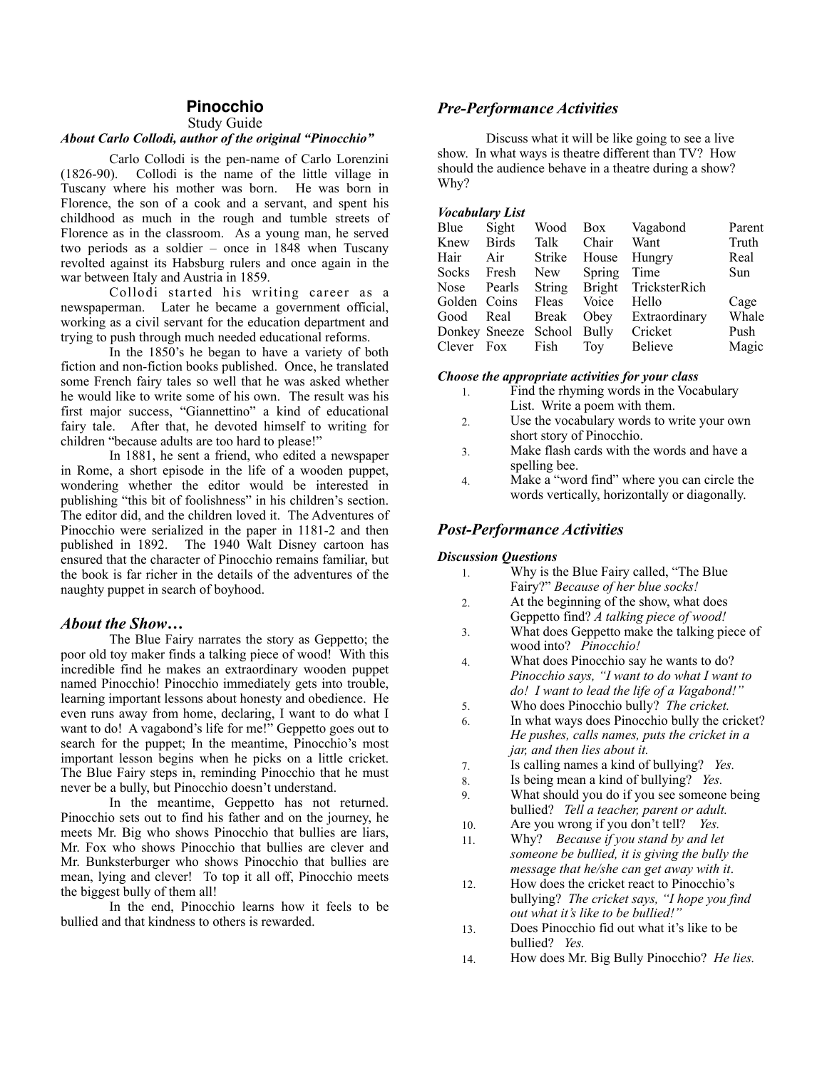### **Pinocchio**

Study Guide

### *About Carlo Collodi, author of the original "Pinocchio"*

Carlo Collodi is the pen-name of Carlo Lorenzini (1826-90). Collodi is the name of the little village in Tuscany where his mother was born. He was born in Florence, the son of a cook and a servant, and spent his childhood as much in the rough and tumble streets of Florence as in the classroom. As a young man, he served two periods as a soldier – once in 1848 when Tuscany revolted against its Habsburg rulers and once again in the war between Italy and Austria in 1859.

 Collodi started his writing career as a newspaperman. Later he became a government official, working as a civil servant for the education department and trying to push through much needed educational reforms.

 In the 1850's he began to have a variety of both fiction and non-fiction books published. Once, he translated some French fairy tales so well that he was asked whether he would like to write some of his own. The result was his first major success, "Giannettino" a kind of educational fairy tale. After that, he devoted himself to writing for children "because adults are too hard to please!"

 In 1881, he sent a friend, who edited a newspaper in Rome, a short episode in the life of a wooden puppet, wondering whether the editor would be interested in publishing "this bit of foolishness" in his children's section. The editor did, and the children loved it. The Adventures of Pinocchio were serialized in the paper in 1181-2 and then published in 1892. The 1940 Walt Disney cartoon has ensured that the character of Pinocchio remains familiar, but the book is far richer in the details of the adventures of the naughty puppet in search of boyhood.

#### *About the Show…*

 The Blue Fairy narrates the story as Geppetto; the poor old toy maker finds a talking piece of wood! With this incredible find he makes an extraordinary wooden puppet named Pinocchio! Pinocchio immediately gets into trouble, learning important lessons about honesty and obedience. He even runs away from home, declaring, I want to do what I want to do! A vagabond's life for me!" Geppetto goes out to search for the puppet; In the meantime, Pinocchio's most important lesson begins when he picks on a little cricket. The Blue Fairy steps in, reminding Pinocchio that he must never be a bully, but Pinocchio doesn't understand.

 In the meantime, Geppetto has not returned. Pinocchio sets out to find his father and on the journey, he meets Mr. Big who shows Pinocchio that bullies are liars, Mr. Fox who shows Pinocchio that bullies are clever and Mr. Bunksterburger who shows Pinocchio that bullies are mean, lying and clever! To top it all off, Pinocchio meets the biggest bully of them all!

 In the end, Pinocchio learns how it feels to be bullied and that kindness to others is rewarded.

# *Pre-Performance Activities*

 Discuss what it will be like going to see a live show. In what ways is theatre different than TV? How should the audience behave in a theatre during a show? Why?

#### *Vocabulary List*

| Blue               | Sight        | Wood                       |                 | Box Vagabond                | Parent |
|--------------------|--------------|----------------------------|-----------------|-----------------------------|--------|
| Knew               | <b>Birds</b> | Talk                       | Chair           | Want                        | Truth  |
| Hair               | Air          | Strike                     | House           | Hungry                      | Real   |
| <b>Socks</b>       | Fresh        |                            | New Spring Time |                             | Sun    |
| Nose Pearls        |              |                            |                 | String Bright TricksterRich |        |
| Golden Coins Fleas |              |                            | Voice           | Hello                       | Cage   |
| Good Real          |              | Break                      | Obev            | Extraordinary               | Whale  |
|                    |              | Donkey Sneeze School Bully |                 | Cricket                     | Push   |
|                    |              | Clever Fox Fish Toy        |                 | <b>Believe</b>              | Magic  |

#### *Choose the appropriate activities for your class*

- 1. Find the rhyming words in the Vocabulary List. Write a poem with them.
- 2. Use the vocabulary words to write your own short story of Pinocchio.
- 3. Make flash cards with the words and have a spelling bee.
- 4. Make a "word find" where you can circle the words vertically, horizontally or diagonally.

## *Post-Performance Activities*

#### *Discussion Questions*

- 1. Why is the Blue Fairy called, "The Blue Fairy?" *Because of her blue socks!*
- 2. At the beginning of the show, what does Geppetto find? *A talking piece of wood!*
- 3. What does Geppetto make the talking piece of wood into? *Pinocchio!*
- 4. What does Pinocchio say he wants to do? *Pinocchio says, "I want to do what I want to do! I want to lead the life of a Vagabond!"*
- 5. Who does Pinocchio bully? *The cricket.*
- 6. In what ways does Pinocchio bully the cricket? *He pushes, calls names, puts the cricket in a jar, and then lies about it.*
- 7. Is calling names a kind of bullying? *Yes.*
- 8. Is being mean a kind of bullying? *Yes.*
- 9. What should you do if you see someone being bullied? *Tell a teacher, parent or adult.*
- 10. Are you wrong if you don't tell? *Yes.*
- 11. Why? *Because if you stand by and let someone be bullied, it is giving the bully the message that he/she can get away with it*.
- 12. How does the cricket react to Pinocchio's bullying? *The cricket says, "I hope you find out what it's like to be bullied!"*
- 13. Does Pinocchio fid out what it's like to be bullied? *Yes.*
- 14. How does Mr. Big Bully Pinocchio? *He lies.*